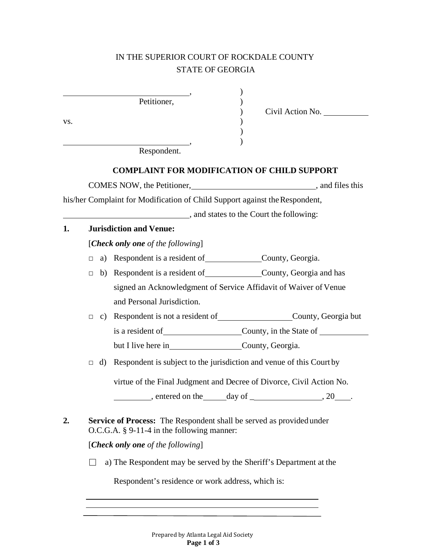## IN THE SUPERIOR COURT OF ROCKDALE COUNTY STATE OF GEORGIA

| VS. |                                                                                                                             |    | Petitioner,<br>Civil Action No.<br>Respondent.                                |  |  |
|-----|-----------------------------------------------------------------------------------------------------------------------------|----|-------------------------------------------------------------------------------|--|--|
|     |                                                                                                                             |    | <b>COMPLAINT FOR MODIFICATION OF CHILD SUPPORT</b>                            |  |  |
|     |                                                                                                                             |    | COMES NOW, the Petitioner, __________________________________, and files this |  |  |
|     |                                                                                                                             |    | his/her Complaint for Modification of Child Support against the Respondent,   |  |  |
|     |                                                                                                                             |    | and states to the Court the following:                                        |  |  |
| 1.  |                                                                                                                             |    | <b>Jurisdiction and Venue:</b>                                                |  |  |
|     |                                                                                                                             |    | [Check only one of the following]                                             |  |  |
|     | П.                                                                                                                          |    | a) Respondent is a resident of County, Georgia.                               |  |  |
|     | $\Box$                                                                                                                      |    | b) Respondent is a resident of County, Georgia and has                        |  |  |
|     |                                                                                                                             |    | signed an Acknowledgment of Service Affidavit of Waiver of Venue              |  |  |
|     |                                                                                                                             |    | and Personal Jurisdiction.                                                    |  |  |
|     | $\Box$                                                                                                                      |    |                                                                               |  |  |
|     |                                                                                                                             |    |                                                                               |  |  |
|     |                                                                                                                             |    |                                                                               |  |  |
|     | П                                                                                                                           | d) | Respondent is subject to the jurisdiction and venue of this Court by          |  |  |
|     |                                                                                                                             |    | virtue of the Final Judgment and Decree of Divorce, Civil Action No.          |  |  |
|     |                                                                                                                             |    | , entered on the _____ day of<br>.20                                          |  |  |
| 2.  | <b>Service of Process:</b> The Respondent shall be served as provided under<br>$O.C.G.A. § 9-11-4$ in the following manner: |    |                                                                               |  |  |
|     | [Check only one of the following]                                                                                           |    |                                                                               |  |  |
|     |                                                                                                                             |    | a) The Respondent may be served by the Sheriff's Department at the            |  |  |
|     |                                                                                                                             |    | Respondent's residence or work address, which is:                             |  |  |

<u> 1989 - Johann Barn, mars ann an t-Amhain Aonaich an t-Aonaich an t-Aonaich ann an t-Aonaich ann an t-Aonaich</u>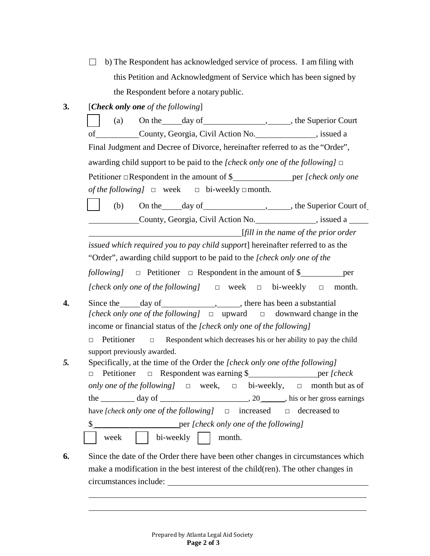$\Box$  b) The Respondent has acknowledged service of process. I am filing with this Petition and Acknowledgment of Service which has been signed by the Respondent before a notary public.

**3.** [*Check only one of the following*]

(a) On the day of  $\qquad \qquad$ , , the Superior Court of County, Georgia, Civil Action No. , issued a Final Judgment and Decree of Divorce, hereinafter referred to as the "Order", awarding child support to be paid to the *[check only one of the following]* □ Petitioner □Respondent in the amount of \$ per *[check only one of the following*  $] \square$  week  $\square$  bi-weekly  $\square$  month.

(b) On the day of , the Superior Court of County, Georgia, Civil Action No. , issued a

[*fill in the name of the prior order*

*issued which required you to pay child support*] hereinafter referred to as the "Order", awarding child support to be paid to the *[check only one of the*

*following* **d** Petitioner **□** Respondent in the amount of \$ per *[check only one of the following]* □ week □ bi-weekly □ month.

**4.** Since the day of , there has been a substantial *[check only one of the following]* □ upward □ downward change in the income or financial status of the *[check only one of the following]* 

□ Petitioner □ Respondent which decreases his or her ability to pay the child support previously awarded.

- *5.* Specifically, at the time of the Order the *[check only one ofthe following]* □ Petitioner □ Respondent was earning \$ per *[check only one of the following]* □ week, □ bi-weekly, □ month but as of the  $\frac{day \text{ of } (x,y) - y}{y}$ , 20  $\frac{dy}{dx}$ , his or her gross earnings have *[check only one of the following]* □ increased □ decreased to  **\_\_\_\_\_\_\_per** *[check only one of the following]* week | bi-weekly | month.
- **6.** Since the date of the Order there have been other changes in circumstances which make a modification in the best interest of the child(ren). The other changes in circumstances include: